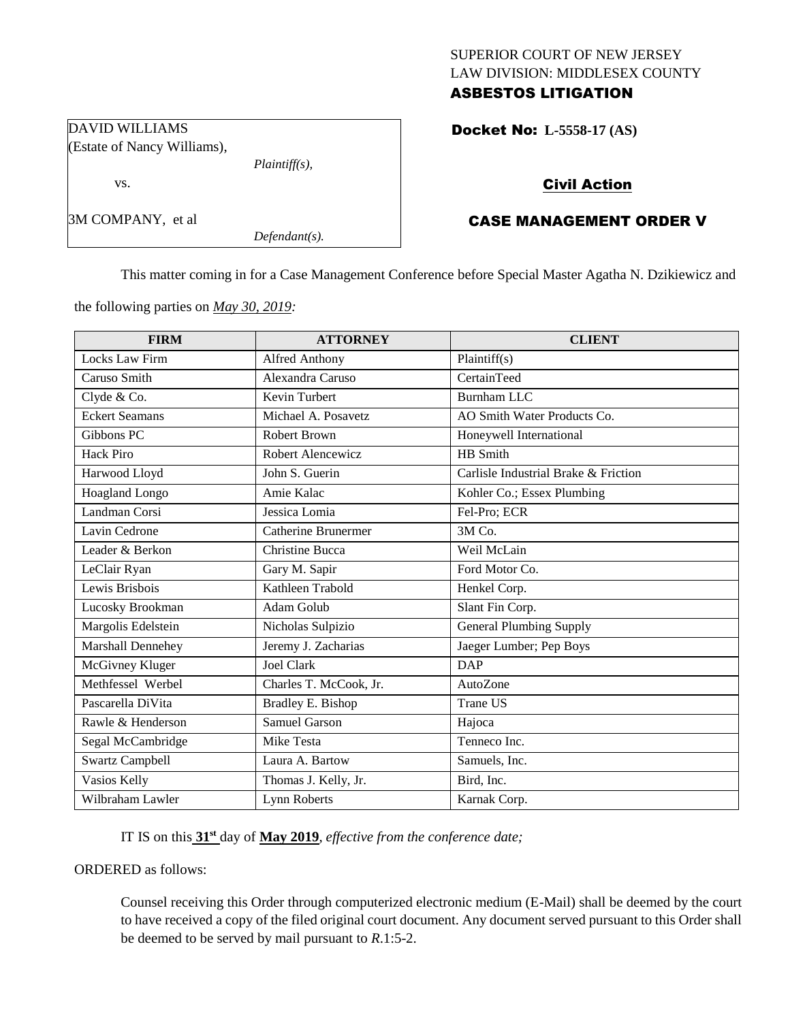# SUPERIOR COURT OF NEW JERSEY LAW DIVISION: MIDDLESEX COUNTY ASBESTOS LITIGATION

Docket No: **L-5558-17 (AS)** 

# Civil Action

# CASE MANAGEMENT ORDER V

This matter coming in for a Case Management Conference before Special Master Agatha N. Dzikiewicz and

the following parties on *May 30, 2019:*

*Plaintiff(s),*

*Defendant(s).*

DAVID WILLIAMS

vs.

3M COMPANY, et al

(Estate of Nancy Williams),

| <b>FIRM</b>            | <b>ATTORNEY</b>        | <b>CLIENT</b>                        |
|------------------------|------------------------|--------------------------------------|
| Locks Law Firm         | <b>Alfred Anthony</b>  | Plaintiff(s)                         |
| Caruso Smith           | Alexandra Caruso       | CertainTeed                          |
| Clyde & Co.            | Kevin Turbert          | Burnham LLC                          |
| <b>Eckert Seamans</b>  | Michael A. Posavetz    | AO Smith Water Products Co.          |
| Gibbons PC             | <b>Robert Brown</b>    | Honeywell International              |
| <b>Hack Piro</b>       | Robert Alencewicz      | HB Smith                             |
| Harwood Lloyd          | John S. Guerin         | Carlisle Industrial Brake & Friction |
| Hoagland Longo         | Amie Kalac             | Kohler Co.; Essex Plumbing           |
| Landman Corsi          | Jessica Lomia          | Fel-Pro; ECR                         |
| Lavin Cedrone          | Catherine Brunermer    | $3M$ Co.                             |
| Leader & Berkon        | Christine Bucca        | Weil McLain                          |
| LeClair Ryan           | Gary M. Sapir          | Ford Motor Co.                       |
| Lewis Brisbois         | Kathleen Trabold       | Henkel Corp.                         |
| Lucosky Brookman       | Adam Golub             | Slant Fin Corp.                      |
| Margolis Edelstein     | Nicholas Sulpizio      | <b>General Plumbing Supply</b>       |
| Marshall Dennehey      | Jeremy J. Zacharias    | Jaeger Lumber; Pep Boys              |
| McGivney Kluger        | <b>Joel Clark</b>      | <b>DAP</b>                           |
| Methfessel Werbel      | Charles T. McCook, Jr. | AutoZone                             |
| Pascarella DiVita      | Bradley E. Bishop      | Trane US                             |
| Rawle & Henderson      | <b>Samuel Garson</b>   | Hajoca                               |
| Segal McCambridge      | Mike Testa             | Tenneco Inc.                         |
| <b>Swartz Campbell</b> | Laura A. Bartow        | Samuels, Inc.                        |
| Vasios Kelly           | Thomas J. Kelly, Jr.   | Bird, Inc.                           |
| Wilbraham Lawler       | Lynn Roberts           | Karnak Corp.                         |

IT IS on this **31st** day of **May 2019**, *effective from the conference date;*

ORDERED as follows:

Counsel receiving this Order through computerized electronic medium (E-Mail) shall be deemed by the court to have received a copy of the filed original court document. Any document served pursuant to this Order shall be deemed to be served by mail pursuant to *R*.1:5-2.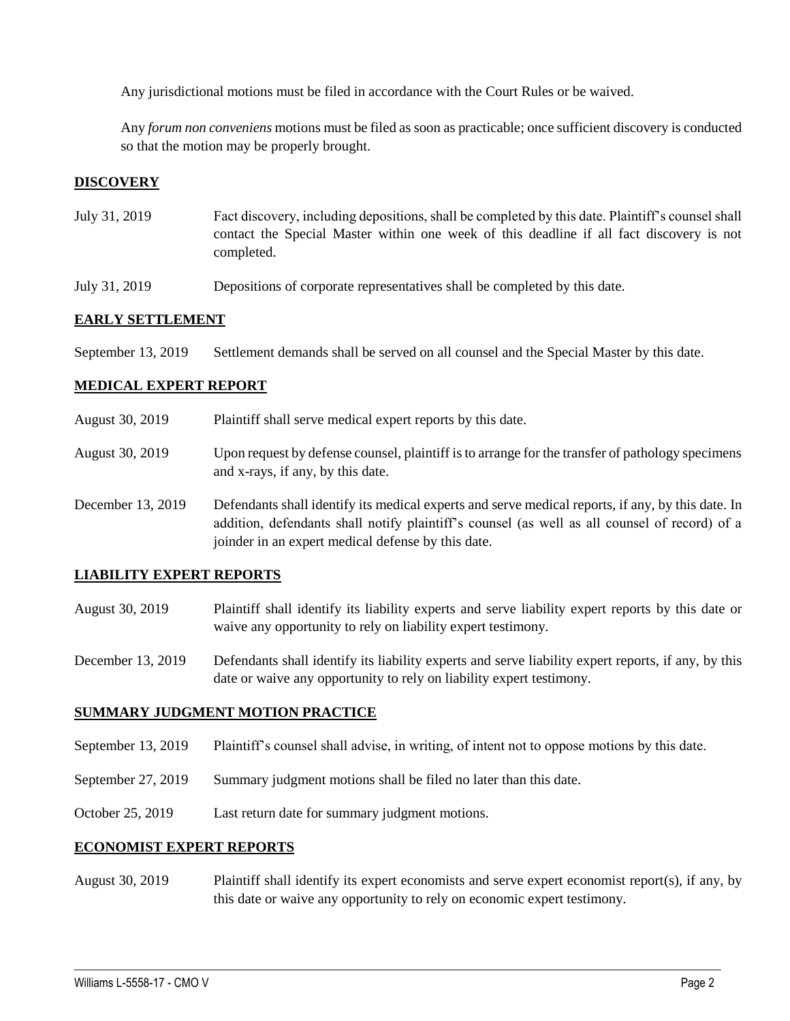Any jurisdictional motions must be filed in accordance with the Court Rules or be waived.

Any *forum non conveniens* motions must be filed as soon as practicable; once sufficient discovery is conducted so that the motion may be properly brought.

# **DISCOVERY**

- July 31, 2019 Fact discovery, including depositions, shall be completed by this date. Plaintiff's counsel shall contact the Special Master within one week of this deadline if all fact discovery is not completed.
- July 31, 2019 Depositions of corporate representatives shall be completed by this date.

### **EARLY SETTLEMENT**

September 13, 2019 Settlement demands shall be served on all counsel and the Special Master by this date.

#### **MEDICAL EXPERT REPORT**

- August 30, 2019 Plaintiff shall serve medical expert reports by this date.
- August 30, 2019 Upon request by defense counsel, plaintiff is to arrange for the transfer of pathology specimens and x-rays, if any, by this date.
- December 13, 2019 Defendants shall identify its medical experts and serve medical reports, if any, by this date. In addition, defendants shall notify plaintiff's counsel (as well as all counsel of record) of a joinder in an expert medical defense by this date.

#### **LIABILITY EXPERT REPORTS**

- August 30, 2019 Plaintiff shall identify its liability experts and serve liability expert reports by this date or waive any opportunity to rely on liability expert testimony.
- December 13, 2019 Defendants shall identify its liability experts and serve liability expert reports, if any, by this date or waive any opportunity to rely on liability expert testimony.

#### **SUMMARY JUDGMENT MOTION PRACTICE**

- September 13, 2019 Plaintiff's counsel shall advise, in writing, of intent not to oppose motions by this date.
- September 27, 2019 Summary judgment motions shall be filed no later than this date.
- October 25, 2019 Last return date for summary judgment motions.

#### **ECONOMIST EXPERT REPORTS**

August 30, 2019 Plaintiff shall identify its expert economists and serve expert economist report(s), if any, by this date or waive any opportunity to rely on economic expert testimony.

 $\_$  , and the set of the set of the set of the set of the set of the set of the set of the set of the set of the set of the set of the set of the set of the set of the set of the set of the set of the set of the set of th